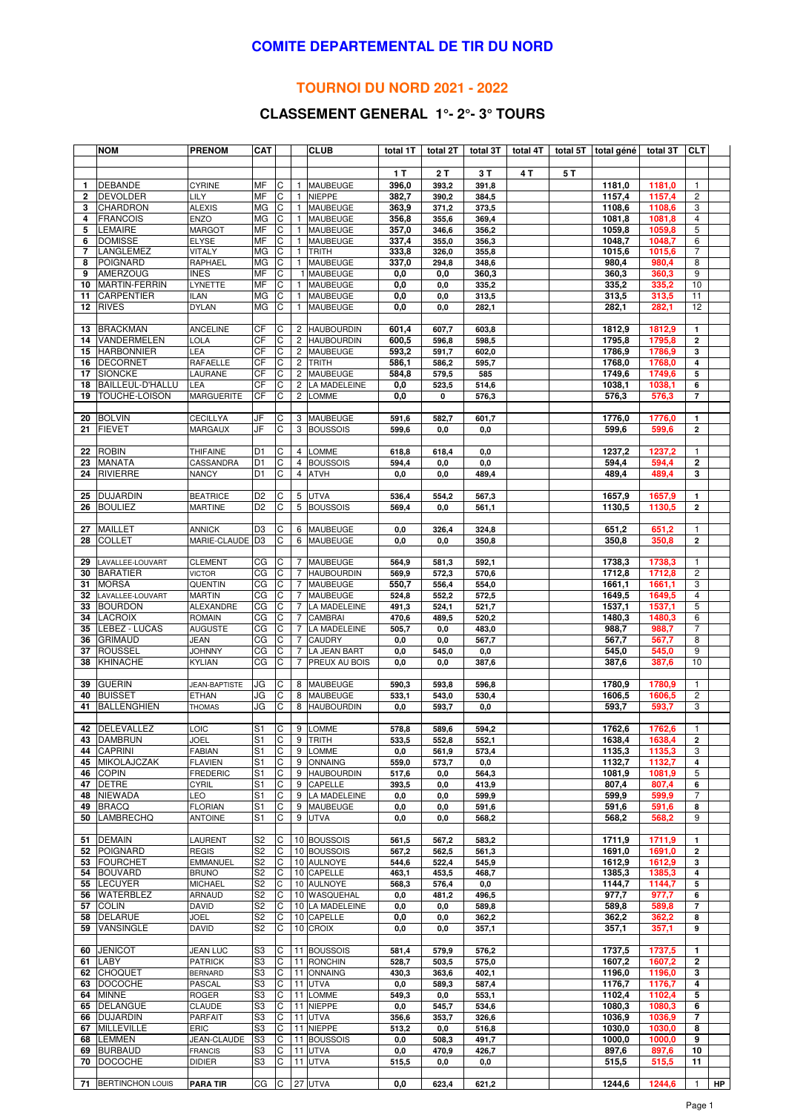#### **COMITE DEPARTEMENTAL DE TIR DU NORD**

### **TOURNOI DU NORD 2021 - 2022**

# **CLASSEMENT GENERAL 1°- 2°- 3° TOURS**

|                | <b>NOM</b>                 | <b>PRENOM</b>                     | <b>CAT</b>           |              |                | <b>CLUB</b>                    | total 1T       | total 2T       | total 3T          | total 4T |     | total 5T total géné | total 3T         | <b>CLT</b>              |    |
|----------------|----------------------------|-----------------------------------|----------------------|--------------|----------------|--------------------------------|----------------|----------------|-------------------|----------|-----|---------------------|------------------|-------------------------|----|
|                |                            |                                   |                      |              |                |                                |                |                |                   |          |     |                     |                  |                         |    |
|                |                            |                                   |                      |              |                |                                | 1T             | 2T             | 3T                | 4 T      | 5 T |                     |                  |                         |    |
| $\mathbf{1}$   | <b>DEBANDE</b>             | <b>CYRINE</b>                     | MF                   | С            | $\mathbf{1}$   | <b>MAUBEUGE</b>                | 396,0          | 393,2          | 391,8             |          |     | 1181,0              | 1181,0           | $\overline{1}$          |    |
| $\overline{2}$ | <b>DEVOLDER</b>            | LILY                              | MF                   | С            | $\mathbf{1}$   | <b>NIEPPE</b>                  | 382,7          | 390,2          | 384,5             |          |     | 1157,4              | 1157,4           | $\overline{2}$          |    |
| 3              | <b>CHARDRON</b>            | <b>ALEXIS</b>                     | MG                   | C            | $\mathbf{1}$   | MAUBEUGE                       | 363,9          | 371,2          | 373,5             |          |     | 1108,6              | 1108,6           | 3                       |    |
| 4              | <b>FRANCOIS</b>            | <b>ENZO</b>                       | <b>MG</b>            | C            | $\mathbf{1}$   | MAUBEUGE                       | 356,8          | 355,6          | 369,4             |          |     | 1081,8              | 1081,8           | $\overline{4}$          |    |
| 5              | <b>LEMAIRE</b>             | <b>MARGOT</b>                     | MF                   | C            | -1             | MAUBEUGE                       | 357,0          | 346,6          | 356,2             |          |     | 1059,8              | 1059,8           | 5                       |    |
| 6              | <b>DOMISSE</b>             | <b>ELYSE</b>                      | MF                   | C            | $\mathbf{1}$   | MAUBEUGE                       | 337,4          | 355,0          | 356,3             |          |     | 1048,7              | 1048,7           | 6                       |    |
| $\overline{7}$ | LANGLEMEZ                  | <b>VITALY</b>                     | MG                   | C            | 1              | <b>TRITH</b>                   | 333,8          | 326,0          | 355,8             |          |     | 1015,6              | 1015,6           | 7                       |    |
| 8              | <b>POIGNARD</b>            | RAPHAEL                           | <b>MG</b>            | C            | $\mathbf{1}$   | <b>MAUBEUGE</b>                | 337,0          | 294,8          | 348,6             |          |     | 980,4               | 980,4            | 8                       |    |
| 9              | <b>AMERZOUG</b>            | <b>INES</b>                       | MF                   | C            |                | 1 MAUBEUGE                     | 0,0            | 0,0            | 360,3             |          |     | 360,3               | 360,3            | 9                       |    |
| 10             | <b>MARTIN-FERRIN</b>       | LYNETTE                           | MF                   | C            | $\mathbf{1}$   | MAUBEUGE                       | 0,0            | 0,0            | 335,2             |          |     | 335,2               | 335,2            | 10                      |    |
| 11             | CARPENTIER                 | <b>ILAN</b>                       | МG                   | С            | $\mathbf{1}$   | <b>MAUBEUGE</b>                | 0,0            | 0,0            | 313,5             |          |     | 313,5               | 313,5            | 11                      |    |
| 12             | <b>RIVES</b>               | <b>DYLAN</b>                      | МG                   | С            | $\mathbf{1}$   | MAUBEUGE                       | 0,0            | 0,0            | 282,1             |          |     | 282,1               | 282,1            | 12                      |    |
| 13             | <b>BRACKMAN</b>            | <b>ANCELINE</b>                   | CF                   | C            |                | 2 HAUBOURDIN                   | 601,4          |                |                   |          |     | 1812,9              | 1812,9           | $\mathbf{1}$            |    |
| 14             | VANDERMELEN                | LOLA                              | CF                   | С            | 2              | <b>HAUBOURDIN</b>              | 600,5          | 607,7<br>596,8 | 603,8<br>598,5    |          |     | 1795,8              | 1795,8           | $\overline{\mathbf{2}}$ |    |
| 15             | <b>HARBONNIER</b>          | LEA                               | CF                   | С            |                | 2 MAUBEUGE                     | 593,2          | 591,7          | 602,0             |          |     | 1786,9              | 1786,9           | 3                       |    |
| 16             | <b>DECORNET</b>            | RAFAELLE                          | СF                   | С            | $\overline{c}$ | <b>TRITH</b>                   | 586,1          | 586,2          | 595,7             |          |     | 1768,0              | 1768,0           | 4                       |    |
| 17             | <b>SIONCKE</b>             | LAURANE                           | CF                   | C            | $\overline{c}$ | MAUBEUGE                       | 584,8          | 579,5          | 585               |          |     | 1749,6              | 1749,6           | 5                       |    |
| 18             | BAILLEUL-D'HALLU           | LEA                               | CF                   | C            | $\overline{c}$ | LA MADELEINE                   | 0,0            | 523,5          | 514,6             |          |     | 1038,1              | 1038,1           | 6                       |    |
| 19             | TOUCHE-LOISON              | <b>MARGUERITE</b>                 | CF                   | C            | 2              | <b>LOMME</b>                   | 0,0            | 0              | 576,3             |          |     | 576,3               | 576,3            | $\overline{7}$          |    |
|                |                            |                                   |                      |              |                |                                |                |                |                   |          |     |                     |                  |                         |    |
| 20             | <b>BOLVIN</b>              | <b>CECILLYA</b>                   | JF                   | С            | 3              | <b>MAUBEUGE</b>                | 591,6          | 582,7          | 601,7             |          |     | 1776,0              | 1776,0           | $\mathbf{1}$            |    |
| 21             | <b>FIEVET</b>              | MARGAUX                           | JF                   | C            | 3              | <b>BOUSSOIS</b>                | 599,6          | 0,0            | 0,0               |          |     | 599,6               | 599,6            | $\overline{\mathbf{2}}$ |    |
|                |                            |                                   |                      |              |                |                                |                |                |                   |          |     |                     |                  |                         |    |
| 22             | <b>ROBIN</b>               | THIFAINE                          | D <sub>1</sub>       | C            | 4              | <b>LOMME</b>                   | 618,8          | 618,4          | 0,0               |          |     | 1237,2              | 1237,2           | 1                       |    |
| 23             | <b>MANATA</b>              | CASSANDRA                         | D <sub>1</sub>       | С            | 4              | <b>BOUSSOIS</b>                | 594,4          | 0,0            | 0,0               |          |     | 594,4               | 594,4            | 2                       |    |
| 24             | <b>RIVIERRE</b>            | <b>NANCY</b>                      | D <sub>1</sub>       | С            | 4              | <b>ATVH</b>                    | 0,0            | 0,0            | 489,4             |          |     | 489,4               | 489,4            | 3                       |    |
|                |                            |                                   |                      |              |                |                                |                |                |                   |          |     |                     |                  |                         |    |
| 25             | <b>DUJARDIN</b>            | <b>BEATRICE</b>                   | D <sub>2</sub>       | С            |                | 5 UTVA                         | 536,4          | 554,2          | 567,3             |          |     | 1657,9              | 1657,9           | 1                       |    |
| 26             | <b>BOULIEZ</b>             | <b>MARTINE</b>                    | D <sub>2</sub>       | C            |                | 5 BOUSSOIS                     | 569,4          | 0,0            | 561,1             |          |     | 1130,5              | 1130,5           | $\mathbf{2}$            |    |
|                |                            |                                   |                      |              |                |                                |                |                |                   |          |     |                     |                  |                         |    |
| 27             | <b>MAILLET</b>             | <b>ANNICK</b>                     | D <sub>3</sub>       | С            | 6              | <b>MAUBEUGE</b>                | 0,0            | 326,4          | 324,8             |          |     | 651,2               | 651,2            | $\mathbf{1}$            |    |
| 28             | <b>COLLET</b>              | MARIE-CLAUDE                      | D <sub>3</sub>       | C            | 6              | <b>MAUBEUGE</b>                | 0,0            | 0,0            | 350,8             |          |     | 350,8               | 350,8            | $\overline{2}$          |    |
| 29             | LAVALLEE-LOUVART           | <b>CLEMENT</b>                    | CG                   | C            | 7              | <b>MAUBEUGE</b>                |                | 581,3          | 592,1             |          |     | 1738,3              | 1738,3           | 1                       |    |
| 30             | <b>BARATIER</b>            | <b>VICTOR</b>                     | СG                   | C            | $\overline{7}$ | <b>HAUBOURDIN</b>              | 564,9<br>569,9 | 572,3          | 570,6             |          |     | 1712,8              | 1712,8           | 2                       |    |
| 31             | <b>MORSA</b>               | QUENTIN                           | СG                   | С            | $\overline{7}$ | MAUBEUGE                       | 550,7          | 556,4          | 554,0             |          |     | 1661,1              | 1661,1           | 3                       |    |
| 32             | LAVALLEE-LOUVART           | <b>MARTIN</b>                     | CG                   | С            | 7              | MAUBEUGE                       | 524,8          | 552,2          | 572,5             |          |     | 1649,5              | 1649,5           | 4                       |    |
| 33             | <b>BOURDON</b>             | ALEXANDRE                         | CG                   | C            | 7              | LA MADELEINE                   | 491,3          | 524,1          | 521,7             |          |     | 1537,1              | 1537,1           | 5                       |    |
| 34             | <b>LACROIX</b>             | <b>ROMAIN</b>                     | CG                   | C            | 7              | CAMBRAI                        | 470,6          | 489,5          | 520,2             |          |     | 1480,3              | 1480,3           | 6                       |    |
| 35             | LEBEZ - LUCAS              | <b>AUGUSTE</b>                    | СG                   | С            | $\overline{7}$ | <b>LA MADELEINE</b>            | 505,7          | 0,0            | 483,0             |          |     | 988,7               | 988,7            | 7                       |    |
| 36             | <b>GRIMAUD</b>             | <b>JEAN</b>                       | CG                   | С            | 7              | <b>CAUDRY</b>                  | 0,0            | 0,0            | 567,7             |          |     | 567,7               | 567,7            | 8                       |    |
| 37             | <b>ROUSSEL</b>             | <b>JOHNNY</b>                     | СG                   | С            | 7              | <b>LA JEAN BART</b>            | 0,0            | 545,0          | 0,0               |          |     | 545,0               | 545,0            | 9                       |    |
| 38             | <b>KHINACHE</b>            | <b>KYLIAN</b>                     | CG                   | C            | $\overline{7}$ | PREUX AU BOIS                  | 0,0            | 0,0            | 387,6             |          |     | 387,6               | 387,6            | 10                      |    |
|                |                            |                                   |                      |              |                |                                |                |                |                   |          |     |                     |                  |                         |    |
| 39             | <b>GUERIN</b>              | <b>JEAN-BAPTISTE</b>              | JG                   | С            |                | 8 MAUBEUGE                     | 590,3          | 593,8          | 596,8             |          |     | 1780,9              | 1780,9           | $\mathbf{1}$            |    |
| 40             | <b>BUISSET</b>             | <b>ETHAN</b>                      | JG                   | С            | 8              | MAUBEUGE                       | 533,1          | 543,0          | 530,4             |          |     | 1606,5              | 1606,5           | $\overline{\mathbf{c}}$ |    |
| 41             | <b>BALLENGHIEN</b>         | <b>THOMAS</b>                     | JG                   | C            | 8              | <b>HAUBOURDIN</b>              | 0,0            | 593,7          | 0,0               |          |     | 593,7               | 593,7            | 3                       |    |
|                |                            |                                   |                      |              |                |                                |                |                |                   |          |     |                     |                  |                         |    |
|                | 42 DELEVALLEZ              | LOIC                              | S <sub>1</sub>       | C            |                | 9 LOMME                        | 578,8          | 589,6          | 594,2             |          |     | 1762,6              | 1762,6           | $\mathbf{1}$            |    |
|                | 43 DAMBRUN                 | JOEL                              | S1                   | IС           |                | 9 TRITH                        | 533,5          | 552,8          | 552,1             |          |     | 1638,4              | 1638,4           | 2                       |    |
| 44             | <b>CAPRINI</b>             | <b>FABIAN</b>                     | S1                   | C            | 9              | <b>LOMME</b>                   | 0,0            | 561,9          | 573,4             |          |     | 1135.3              | 1135,3           | 3                       |    |
|                | 45 MIKOLAJCZAK<br>46 COPIN | <b>FLAVIEN</b><br><b>FREDERIC</b> | S1<br>S <sub>1</sub> | C<br>C       | 9              | <b>ONNAING</b><br>9 HAUBOURDIN | 559,0<br>517,6 | 573,7          | $_{0,0}$<br>564,3 |          |     | 1132,7<br>1081.9    | 1132,7<br>1081.9 | 4<br>5                  |    |
| 47             | <b>DETRE</b>               | <b>CYRIL</b>                      | S <sub>1</sub>       | C            | 9              | CAPELLE                        | 393,5          | 0,0<br>0,0     | 413,9             |          |     | 807,4               | 807,4            | 6                       |    |
| 48             | <b>NIEWADA</b>             | LEO                               | S1                   | С            |                | 9 LA MADELEINE                 | 0,0            | 0,0            | 599,9             |          |     | 599,9               | 599,9            | 7                       |    |
| 49             | <b>BRACQ</b>               | <b>FLORIAN</b>                    | S1                   | С            | 9              | <b>MAUBEUGE</b>                | 0,0            | 0,0            | 591,6             |          |     | 591,6               | 591,6            | 8                       |    |
| 50             | LAMBRECHQ                  | <b>ANTOINE</b>                    | S1                   | C            | 9              | <b>UTVA</b>                    | 0,0            | 0,0            | 568,2             |          |     | 568,2               | 568,2            | 9                       |    |
|                |                            |                                   |                      |              |                |                                |                |                |                   |          |     |                     |                  |                         |    |
| 51             | <b>DEMAIN</b>              | LAURENT                           | S2                   | C            |                | 10 BOUSSOIS                    | 561,5          | 567,2          | 583,2             |          |     | 1711,9              | 1711,9           | 1                       |    |
|                | 52 POIGNARD                | <b>REGIS</b>                      | S2                   | С            |                | 10 BOUSSOIS                    | 567,2          | 562,5          | 561,3             |          |     | 1691,0              | 1691,0           | $\mathbf{2}$            |    |
|                | 53 FOURCHET                | <b>EMMANUEL</b>                   | S <sub>2</sub>       | C            |                | 10 AULNOYE                     | 544,6          | 522,4          | 545,9             |          |     | 1612,9              | 1612,9           | 3                       |    |
|                | 54 BOUVARD                 | <b>BRUNO</b>                      | S2                   | C            |                | 10 CAPELLE                     | 463,1          | 453,5          | 468,7             |          |     | 1385,3              | 1385,3           | 4                       |    |
|                | 55 LECUYER                 | MICHAEL                           | S <sub>2</sub>       | $\mathsf{C}$ |                | 10 AULNOYE                     | 568,3          | 576,4          | 0,0               |          |     | 1144,7              | 1144,7           | 5                       |    |
|                | 56 WATERBLEZ               | <b>ARNAUD</b>                     | S2                   | C            |                | 10 WASQUEHAL                   | 0,0            | 481,2          | 496,5             |          |     | 977,7               | 977,7            | 6                       |    |
| 57             | <b>COLIN</b>               | <b>DAVID</b>                      | S2                   | C            |                | 10 LA MADELEINE                | 0,0            | 0,0            | 589,8             |          |     | 589,8               | 589,8            | $\overline{7}$          |    |
| 58             | <b>DELARUE</b>             | <b>JOEL</b>                       | S2                   | C            |                | 10 CAPELLE                     | 0,0            | 0,0            | 362,2             |          |     | 362,2               | 362,2            | 8                       |    |
| 59             | <b>VANSINGLE</b>           | <b>DAVID</b>                      | S2                   | C            |                | 10 CROIX                       | 0,0            | 0,0            | 357,1             |          |     | 357,1               | 357,1            | 9                       |    |
|                |                            |                                   |                      |              |                |                                |                |                |                   |          |     |                     |                  |                         |    |
|                | 60 JENICOT                 | <b>JEAN LUC</b>                   | S3                   | С            |                | 11 BOUSSOIS                    | 581,4          | 579,9          | 576,2             |          |     | 1737,5              | 1737,5           | 1                       |    |
|                | 61 LABY                    | <b>PATRICK</b>                    | S3                   | C            |                | 11 RONCHIN                     | 528,7          | 503,5          | 575,0             |          |     | 1607,2              | 1607,2           | 2                       |    |
| 62             | <b>CHOQUET</b>             | <b>BERNARD</b>                    | S3                   | С            |                | 11 ONNAING                     | 430,3          | 363,6          | 402,1             |          |     | 1196,0<br>1176,7    | 1196,0           | 3                       |    |
|                | 63 DOCOCHE<br>64 MINNE     | PASCAL<br><b>ROGER</b>            | S3<br>S3             | C<br>C       |                | 11 UTVA<br>11 LOMME            | 0,0<br>549,3   | 589,3<br>0,0   | 587,4<br>553,1    |          |     | 1102,4              | 1176,7<br>1102,4 | 4<br>5                  |    |
|                | 65 DELANGUE                | CLAUDE                            | S3                   | C            |                | 11 NIEPPE                      | 0,0            | 545,7          | 534,6             |          |     | 1080,3              | 1080,3           | 6                       |    |
|                | 66 DUJARDIN                | <b>PARFAIT</b>                    | S3                   | C            |                | 11 UTVA                        | 356,6          | 353,7          | 326,6             |          |     | 1036,9              | 1036,9           | 7                       |    |
| 67             | MILLEVILLE                 | <b>ERIC</b>                       | S3                   | C            |                | 11 NIEPPE                      | 513,2          | 0,0            | 516,8             |          |     | 1030,0              | 1030,0           | 8                       |    |
|                | 68 LEMMEN                  | JEAN-CLAUDE                       | S <sub>3</sub>       | C            |                | 11 BOUSSOIS                    | 0,0            | 508,3          | 491,7             |          |     | 1000,0              | 1000,0           | 9                       |    |
|                | 69 BURBAUD                 | <b>FRANCIS</b>                    | S3                   | C            |                | 11 UTVA                        | 0,0            | 470,9          | 426,7             |          |     | 897,6               | 897,6            | 10                      |    |
|                | 70 DOCOCHE                 | <b>DIDIER</b>                     | S3                   | С            |                | 11 UTVA                        | 515,5          | 0,0            | 0,0               |          |     | 515,5               | 515,5            | 11                      |    |
|                |                            |                                   |                      |              |                |                                |                |                |                   |          |     |                     |                  |                         |    |
|                | 71 BERTINCHON LOUIS        | <b>PARA TIR</b>                   | СG                   | C            |                | 27 UTVA                        | 0,0            | 623,4          | 621,2             |          |     | 1244,6              | 1244,6           | $\mathbf{1}$            | HP |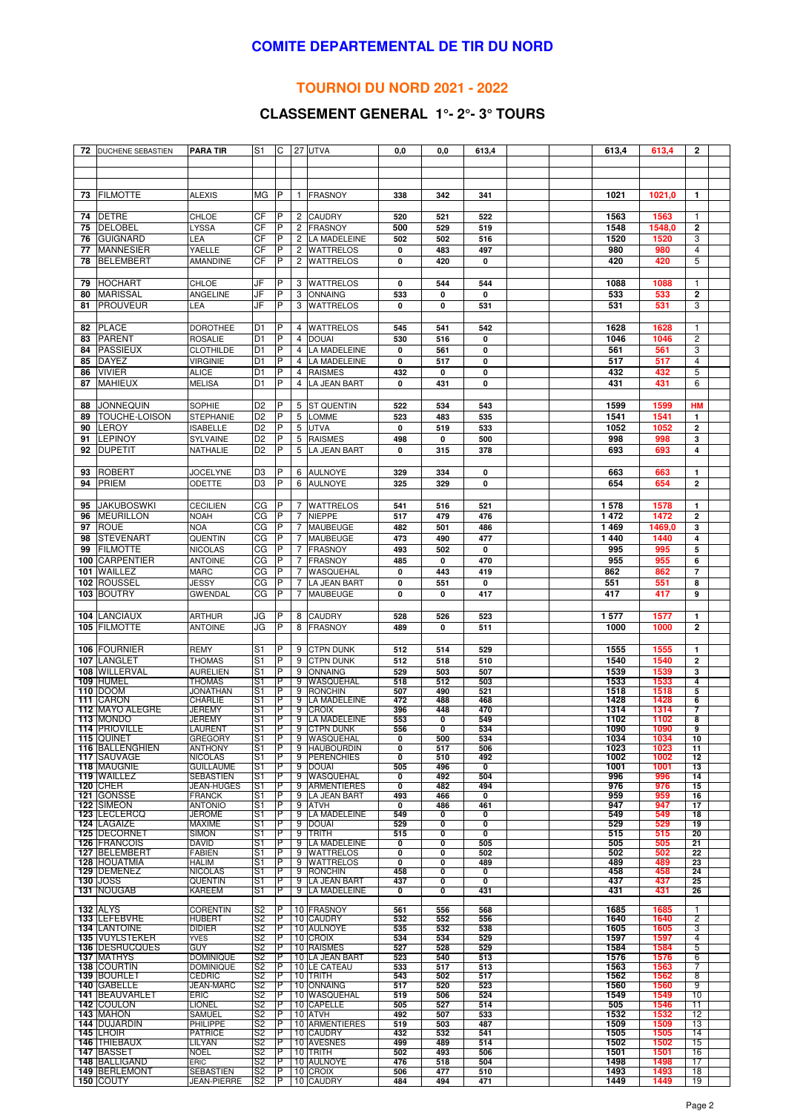#### **COMITE DEPARTEMENTAL DE TIR DU NORD**

### **TOURNOI DU NORD 2021 - 2022**

# **CLASSEMENT GENERAL 1°- 2°- 3° TOURS**

| 72       | DUCHENE SEBASTIEN                         | PARA TIR                           | S1             | C              |                | 27 UTVA                            | 0,0                       | 0,0        | 613,4                   |  | 613,4        | 613,4        | $\mathbf{2}$                            |  |
|----------|-------------------------------------------|------------------------------------|----------------|----------------|----------------|------------------------------------|---------------------------|------------|-------------------------|--|--------------|--------------|-----------------------------------------|--|
|          |                                           |                                    |                |                |                |                                    |                           |            |                         |  |              |              |                                         |  |
|          |                                           |                                    |                |                |                |                                    |                           |            |                         |  |              |              |                                         |  |
|          |                                           |                                    |                |                |                |                                    |                           |            |                         |  |              |              |                                         |  |
| 73       | <b>FILMOTTE</b>                           | <b>ALEXIS</b>                      | МG             | P              | $\mathbf{1}$   | <b>FRASNOY</b>                     | 338                       | 342        | 341                     |  | 1021         | 1021,0       | $\mathbf{1}$                            |  |
|          |                                           |                                    |                |                |                |                                    |                           |            |                         |  |              |              |                                         |  |
| 74       | <b>DETRE</b>                              | <b>CHLOE</b>                       | CF             | P              |                | 2 CAUDRY                           | 520                       | 521        | 522                     |  | 1563         | 1563         | $\mathbf{1}$                            |  |
| 75       | <b>DELOBEL</b>                            | LYSSA                              | CF             | P              | 2              | <b>FRASNOY</b>                     | 500                       | 529        | 519                     |  | 1548         | 1548,0       | $\overline{2}$                          |  |
| 76       | <b>GUIGNARD</b>                           | LEA                                | CF             | P              | $\overline{2}$ | <b>LA MADELEINE</b>                | 502                       | 502        | 516                     |  | 1520         | 1520         | 3                                       |  |
| 77       | <b>MANNESIER</b>                          | YAELLE                             | СF             | P              | 2              | WATTRELOS                          | 0                         | 483        | 497                     |  | 980          | 980          | $\overline{4}$                          |  |
| 78       | <b>BELEMBERT</b>                          | AMANDINE                           | СF             | P              | 2              | <b>WATTRELOS</b>                   | 0                         | 420        | 0                       |  | 420          | 420          | 5                                       |  |
|          |                                           | CHLOE                              |                |                |                |                                    |                           |            |                         |  |              |              |                                         |  |
| 79<br>80 | <b>HOCHART</b><br><b>MARISSAL</b>         | ANGELINE                           | JF<br>JF       | P<br>P         | 3<br>3         | <b>WATTRELOS</b><br><b>ONNAING</b> | $\mathbf 0$<br>533        | 544        | 544                     |  | 1088<br>533  | 1088<br>533  | $\mathbf{1}$<br>$\overline{\mathbf{2}}$ |  |
| 81       | <b>PROUVEUR</b>                           | LEA                                | JF             | P              | 3              | <b>WATTRELOS</b>                   | 0                         | 0<br>0     | 0                       |  | 531          | 531          | 3                                       |  |
|          |                                           |                                    |                |                |                |                                    |                           |            | 531                     |  |              |              |                                         |  |
| 82       | <b>PLACE</b>                              | <b>DOROTHEE</b>                    | D1             | P              |                | 4 WATTRELOS                        | 545                       | 541        | 542                     |  | 1628         | 1628         | $\mathbf{1}$                            |  |
| 83       | <b>PARENT</b>                             | <b>ROSALIE</b>                     | D <sub>1</sub> | P              | 4              | <b>DOUAI</b>                       | 530                       | 516        | 0                       |  | 1046         | 1046         | $\overline{c}$                          |  |
| 84       | <b>PASSIEUX</b>                           | <b>CLOTHILDE</b>                   | D <sub>1</sub> | P              | 4              | <b>LA MADELEINE</b>                | 0                         | 561        | 0                       |  | 561          | 561          | 3                                       |  |
| 85       | <b>DAYEZ</b>                              | <b>VIRGINIE</b>                    | D1             | P              | 4              | <b>LA MADELEINE</b>                | 0                         | 517        | 0                       |  | 517          | 517          | $\overline{4}$                          |  |
| 86       | <b>VIVIER</b>                             | <b>ALICE</b>                       | D1             | P              | 4              | <b>RAISMES</b>                     | 432                       | 0          | 0                       |  | 432          | 432          | 5                                       |  |
| 87       | <b>MAHIEUX</b>                            | <b>MELISA</b>                      | D <sub>1</sub> | P              | 4              | <b>LA JEAN BART</b>                | $\mathbf 0$               | 431        | 0                       |  | 431          | 431          | 6                                       |  |
|          |                                           |                                    |                |                |                |                                    |                           |            |                         |  |              |              |                                         |  |
| 88       | JONNEQUIN                                 | SOPHIE                             | D <sub>2</sub> | P              |                | 5 ST QUENTIN                       | 522                       | 534        | 543                     |  | 1599         | 1599         | HM                                      |  |
| 89       | TOUCHE-LOISON                             | STEPHANIE                          | D <sub>2</sub> | $\overline{P}$ | 5              | <b>LOMME</b>                       | 523                       | 483        | 535                     |  | 1541         | 1541         | $\mathbf{1}$                            |  |
| 90       | LEROY                                     | <b>ISABELLE</b>                    | D <sub>2</sub> | P              |                | 5 UTVA                             | 0                         | 519        | 533                     |  | 1052         | 1052         | $\overline{\mathbf{2}}$                 |  |
| 91       | <b>LEPINOY</b>                            | SYLVAINE                           | D <sub>2</sub> | P              | 5              | <b>RAISMES</b>                     | 498                       | 0          | 500                     |  | 998          | 998          | 3                                       |  |
| 92       | <b>DUPETIT</b>                            | NATHALIE                           | D <sub>2</sub> | P              | 5              | <b>LA JEAN BART</b>                | 0                         | 315        | 378                     |  | 693          | 693          | 4                                       |  |
|          |                                           |                                    |                |                |                |                                    |                           |            |                         |  |              |              |                                         |  |
| 93       | <b>ROBERT</b>                             | <b>JOCELYNE</b>                    | D <sub>3</sub> | P              | 6              | <b>AULNOYE</b>                     | 329                       | 334        | 0                       |  | 663          | 663          | $\mathbf{1}$                            |  |
| 94       | <b>PRIEM</b>                              | ODETTE                             | D <sub>3</sub> | P              | 6              | <b>AULNOYE</b>                     | 325                       | 329        | 0                       |  | 654          | 654          | $\overline{\mathbf{2}}$                 |  |
|          |                                           |                                    |                |                |                |                                    |                           |            |                         |  |              |              |                                         |  |
| 95       | <b>JAKUBOSWKI</b>                         | <b>CECILIEN</b>                    | CG             | P              | 7              | <b>WATTRELOS</b>                   | 541                       | 516        | 521                     |  | 1578         | 1578         | $\mathbf{1}$                            |  |
| 96       | <b>MEURILLON</b>                          | <b>NOAH</b>                        | СG             | P              | $\overline{7}$ | <b>NIEPPE</b>                      | 517                       | 479        | 476                     |  | 1 4 7 2      | 1472         | $\overline{\mathbf{2}}$                 |  |
| 97       | <b>ROUE</b>                               | <b>NOA</b>                         | СG             | P              | 7              | <b>MAUBEUGE</b>                    | 482                       | 501        | 486                     |  | 1469         | 1469,0       | 3                                       |  |
| 98       | <b>STEVENART</b>                          | QUENTIN                            | СG             | P              | 7              | <b>MAUBEUGE</b>                    | 473                       | 490        | 477                     |  | 1440         | 1440         | 4                                       |  |
| 99       | <b>FILMOTTE</b>                           | <b>NICOLAS</b>                     | СG             | P              | 7              | <b>FRASNOY</b>                     | 493                       | 502        | $\mathbf 0$             |  | 995          | 995          | 5                                       |  |
| 100      | <b>CARPENTIER</b>                         | <b>ANTOINE</b>                     | СG             | P              | 7              | <b>FRASNOY</b>                     | 485                       | 0          | 470                     |  | 955          | 955          | 6                                       |  |
| 101      | WAILLEZ                                   | <b>MARC</b>                        | CG             | P<br>P         | $\overline{7}$ | WASQUEHAL                          | $\mathbf 0$               | 443        | 419                     |  | 862          | 862          | $\overline{7}$                          |  |
| 102      | <b>ROUSSEL</b><br>103 BOUTRY              | JESSY                              | СG<br>СG       | P              | 7<br>7         | LA JEAN BART<br><b>MAUBEUGE</b>    | 0                         | 551<br>0   | $\mathbf 0$             |  | 551<br>417   | 551<br>417   | 8<br>9                                  |  |
|          |                                           | <b>GWENDAL</b>                     |                |                |                |                                    | 0                         |            | 417                     |  |              |              |                                         |  |
| 104      | <b>LANCIAUX</b>                           | <b>ARTHUR</b>                      | JG             | P              | 8              | <b>CAUDRY</b>                      | 528                       | 526        | 523                     |  | 1577         | 1577         | $\mathbf{1}$                            |  |
|          | 105 FILMOTTE                              | <b>ANTOINE</b>                     | JG             | P              | 8              | <b>FRASNOY</b>                     | 489                       | 0          | 511                     |  | 1000         | 1000         | 2                                       |  |
|          |                                           |                                    |                |                |                |                                    |                           |            |                         |  |              |              |                                         |  |
|          | 106 FOURNIER                              | REMY                               | S1             | P              | 9              | <b>CTPN DUNK</b>                   | 512                       | 514        | 529                     |  | 1555         | 1555         | 1                                       |  |
| 107      | LANGLET                                   | <b>THOMAS</b>                      | S1             | P              | 9              | <b>CTPN DUNK</b>                   | 512                       | 518        | 510                     |  | 1540         | 1540         | $\overline{\mathbf{2}}$                 |  |
| 108      | WILLERVAL                                 | <b>AURELIEN</b>                    | S1             | P              | 9              | <b>ONNAING</b>                     | 529                       | 503        | 507                     |  | 1539         | 1539         | 3                                       |  |
|          | 109 HUMEL                                 | THOMAS                             | S1             | Р              | 9              | WASQUEHAL                          | 518                       | 512        | 503                     |  | 1533         | 1533         | 4                                       |  |
|          | <b>110 DOOM</b>                           | <b>JONATHAN</b>                    | S1             | P              |                | 9 RONCHIN                          | 507                       | 490        | 521                     |  | 1518         | 1518         | 5                                       |  |
| 111      | <b>CARON</b><br><b>IMAYO ALEGRE</b>       | CHARLIE                            | S1<br>S1       | P<br>P         | 9              | 9 LA MADELEINE                     | 472                       | 488<br>448 | 468<br>470              |  | 1428<br>1314 | 1428<br>1314 | 6<br>7                                  |  |
| 112      | 113 MONDO                                 | JEREMY<br>JEREMY                   | S1             | Р              |                | <b>CROIX</b><br>9  LA MADELEINE    | 396<br>553                | 0          | 549                     |  | 1102         | 1102         | 8                                       |  |
|          | <b>114 PRIOVILLE</b>                      | <b>LAURENT</b>                     | S1             | IP             |                | 9 CTPN DUNK                        | 556                       | O          | 534                     |  | 1090         | 1090         | 9                                       |  |
|          | <b>115 QUINET</b>                         | <b>GREGORY</b>                     | S1             | ΤP             |                | 9 WASQUEHAL                        | 0                         | 500        | 534                     |  | 1034         | 1034         | 10                                      |  |
|          | <b>116 BALLENGHIEN</b>                    | <b>ANTHONY</b>                     | S1             | P              |                | 9 <b>HAUBOURDIN</b>                | 0                         | 517        | 506                     |  | 1023         | 1023         | 11                                      |  |
|          | <b>117 ISAUVAGE</b><br><b>118 MAUGNIE</b> | <b>NICOLAS</b><br><b>GUILLAUME</b> | S1<br>S1       | P<br>P         | 9              | <b>PERENCHIES</b><br>9 DOUAI       | 0<br>505                  | 510<br>496 | 492<br>0                |  | 1002<br>1001 | 1002<br>1001 | 12<br>13                                |  |
|          | <b>119 WAILLEZ</b>                        | <b>SEBASTIEN</b>                   | S1             | P              |                | 9 WASQUEHAL                        | 0                         | 492        | 504                     |  | 996          | 996          | 14                                      |  |
|          | <b>120 ICHER</b>                          | <b>JEAN-HUGES</b>                  | S1             | Р              |                | 9 ARMENTIERES                      | $\overline{\mathfrak{o}}$ | 482        | 494                     |  | 976          | 976          | 15                                      |  |
|          | 121 GONSSE                                | <b>FRANCK</b>                      | S1             | P              |                | 9 LA JEAN BART                     | 493                       | 466        | 0                       |  | 959          | 959          | 16                                      |  |
| 122      | <b>ISIMEON</b><br>123 LECLERCQ            | <b>ANTONIO</b><br><b>JEROME</b>    | S1<br>S1       | P<br>P         |                | 9 ATVH<br>9 LA MADELEINE           | 0<br>549                  | 486<br>0   | 461<br>0                |  | 947<br>549   | 947<br>549   | 17<br>18                                |  |
|          | <b>124 LAGAIZE</b>                        | MAXIME                             | S1             | P              |                | 9 DOUAI                            | 529                       | 0          | 0                       |  | 529          | 529          | 19                                      |  |
|          | <b>125 DECORNET</b>                       | <b>SIMON</b>                       | S1             | P              |                | 9 TRITH                            | 515                       | 0          | $\overline{\mathbf{0}}$ |  | 515          | 515          | 20                                      |  |
|          | <b>126   FRANCOIS</b>                     | <b>DAVID</b>                       | S1             | P              |                | 9 LA MADELEINE                     | 0                         | O          | 505                     |  | 505          | 505          | 21                                      |  |
|          | 127 BELEMBERT                             | <b>FABIEN</b>                      | S1             | P              | 9              | <b>WATTRELOS</b>                   | 0                         | 0          | 502                     |  | 502          | 502          | $\overline{22}$                         |  |
|          | <b>128 HOUATMIA</b><br>129 IDEMENEZ       | HALIM<br><b>NICOLAS</b>            | S1<br>S1       | P<br>P         |                | 9 WATTRELOS<br>9 RONCHIN           | 0<br>458                  | 0<br>O     | 489<br>0                |  | 489<br>458   | 489<br>458   | 23<br>24                                |  |
|          | <b>130 IJOSS</b>                          | <b>QUENTIN</b>                     | S1             | Р              |                | 9 ILA JEAN BART                    | 437                       | 0          | $\overline{\mathbf{0}}$ |  | 437          | 437          | 25                                      |  |
|          | <b>131 INOUGAB</b>                        | <b>KAREEM</b>                      | S1             | P              |                | 9 LA MADELEINE                     | 0                         | 0          | 431                     |  | 431          | 431          | 26                                      |  |
|          |                                           |                                    |                |                |                |                                    |                           |            |                         |  |              |              |                                         |  |
|          | <b>132 JALYS</b><br><b>133 ILEFEBVRE</b>  | <b>CORENTIN</b><br>HUBERT          | S2<br>S2       | Р<br>P         |                | 10 <b>IFRASNOY</b><br>10 CAUDRY    | 561<br>532                | 556<br>552 | 568<br>556              |  | 1685<br>1640 | 1685<br>1640 | 2                                       |  |
|          | <b>134 ILANTOINE</b>                      | <b>DIDIER</b>                      | S2             | P              |                | 10 AULNOYE                         | 535                       | 532        | 538                     |  | 1605         | 1605         | 3                                       |  |
|          | <b>135 IVUYLSTEKER</b>                    | <b>YVES</b>                        | S2             | P              |                | 10 CROIX                           | 534                       | 534        | 529                     |  | 1597         | 1597         | 4                                       |  |
|          | <b>136   DESRUCQUES</b>                   | <b>GUY</b>                         | S2             | P              |                | 10 RAISMES                         | 527                       | 528        | 529                     |  | 1584         | 1584         | 5                                       |  |
|          | <b>137 MATHYS</b>                         | <b>DOMINIQUE</b>                   | S2             | P              |                | 10 LA JEAN BART                    | 523                       | 540        | 513                     |  | 1576         | 1576         | 6                                       |  |
|          | <b>138 ICOURTIN</b><br><b>139 BOURLET</b> | <b>DOMINIQUE</b><br><b>CEDRIC</b>  | S2<br>S2       | P<br>Р         |                | 10 LE CATEAU<br>10 TRITH           | 533<br>543                | 517<br>502 | 513<br>517              |  | 1563<br>1562 | 1563<br>1562 | 7<br>8                                  |  |
|          | 140 GABELLE                               | <b>JEAN-MARC</b>                   | S2             | P              |                | 10 ONNAING                         | 517                       | 520        | 523                     |  | 1560         | 1560         | 9                                       |  |
|          | <b>141 BEAUVARLET</b>                     | ERIC                               | S2             | IP             |                | 10 WASQUEHAL                       | 519                       | 506        | 524                     |  | 1549         | 1549         | 10                                      |  |
|          | <b>142 ICOULON</b>                        | <b>LIONEL</b>                      | S2             | P              |                | 10 CAPELLE                         | 505                       | 527        | 514                     |  | 505          | 1546         | 11                                      |  |
|          | 143 MAHON                                 | <b>SAMUEL</b>                      | S2             | P              |                | 10 ATVH                            | 492                       | 507        | 533                     |  | 1532         | 1532         | 12                                      |  |
|          | <b>144 IDUJARDIN</b><br><b>145 ILHOIR</b> | <b>PHILIPPE</b><br><b>PATRICE</b>  | S2<br>S2       | P<br>P         |                | <b>10 ARMENTIERES</b><br>10 CAUDRY | 519<br>432                | 503<br>532 | 487<br>541              |  | 1509<br>1505 | 1509<br>1505 | 13<br>14                                |  |
|          | <b>146   THIEBAUX</b>                     | LILYAN                             | S2             | P              |                | 10 AVESNES                         | 499                       | 489        | 514                     |  | 1502         | 1502         | 15                                      |  |
|          | <b>147 BASSET</b>                         | NOEL                               | S2             | Р              |                | 10 TRITH                           | 502                       | 493        | 506                     |  | 1501         | 1501         | 16                                      |  |
|          | <b>148 BALLIGAND</b>                      | ERIC                               | S2             | P              |                | 10 AULNOYE                         | 476                       | 518        | 504                     |  | 1498         | 1498         | 17                                      |  |
|          | <b>149 BERLEMONT</b>                      | <b>SEBASTIEN</b>                   | S2             | Р<br>P         |                | 10 CROIX                           | 506<br>484                | 477<br>494 | 510<br>471              |  | 1493<br>1449 | 1493<br>1449 | 18                                      |  |
|          | 150 COUTY                                 | <b>JEAN-PIERRE</b>                 | S2             |                |                | 10 CAUDRY                          |                           |            |                         |  |              |              | 19                                      |  |